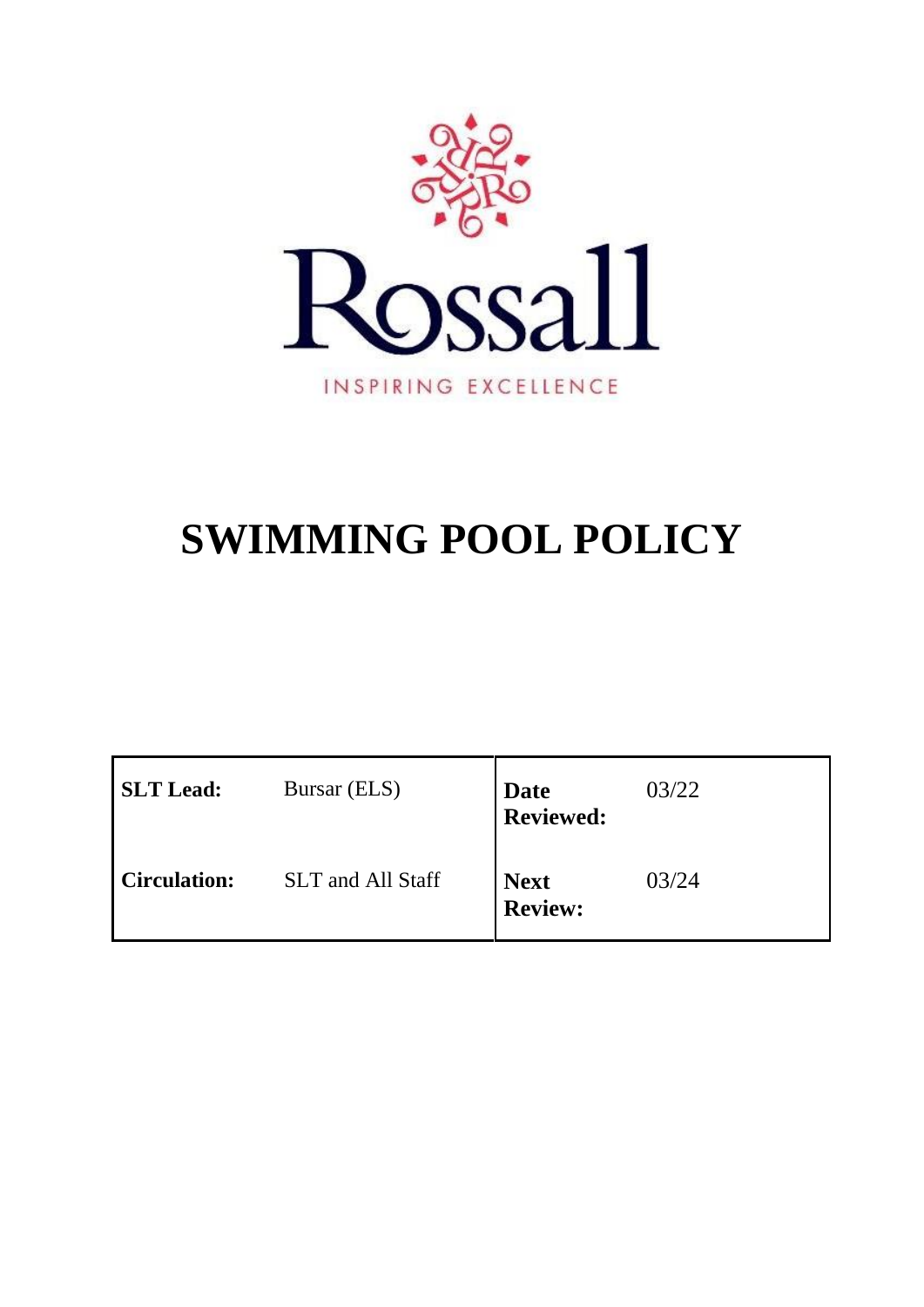

# **SWIMMING POOL POLICY**

| <b>SLT</b> Lead:    | Bursar (ELS)             | <b>Date</b><br><b>Reviewed:</b> | 03/22 |
|---------------------|--------------------------|---------------------------------|-------|
| <b>Circulation:</b> | <b>SLT</b> and All Staff | <b>Next</b><br><b>Review:</b>   | 03/24 |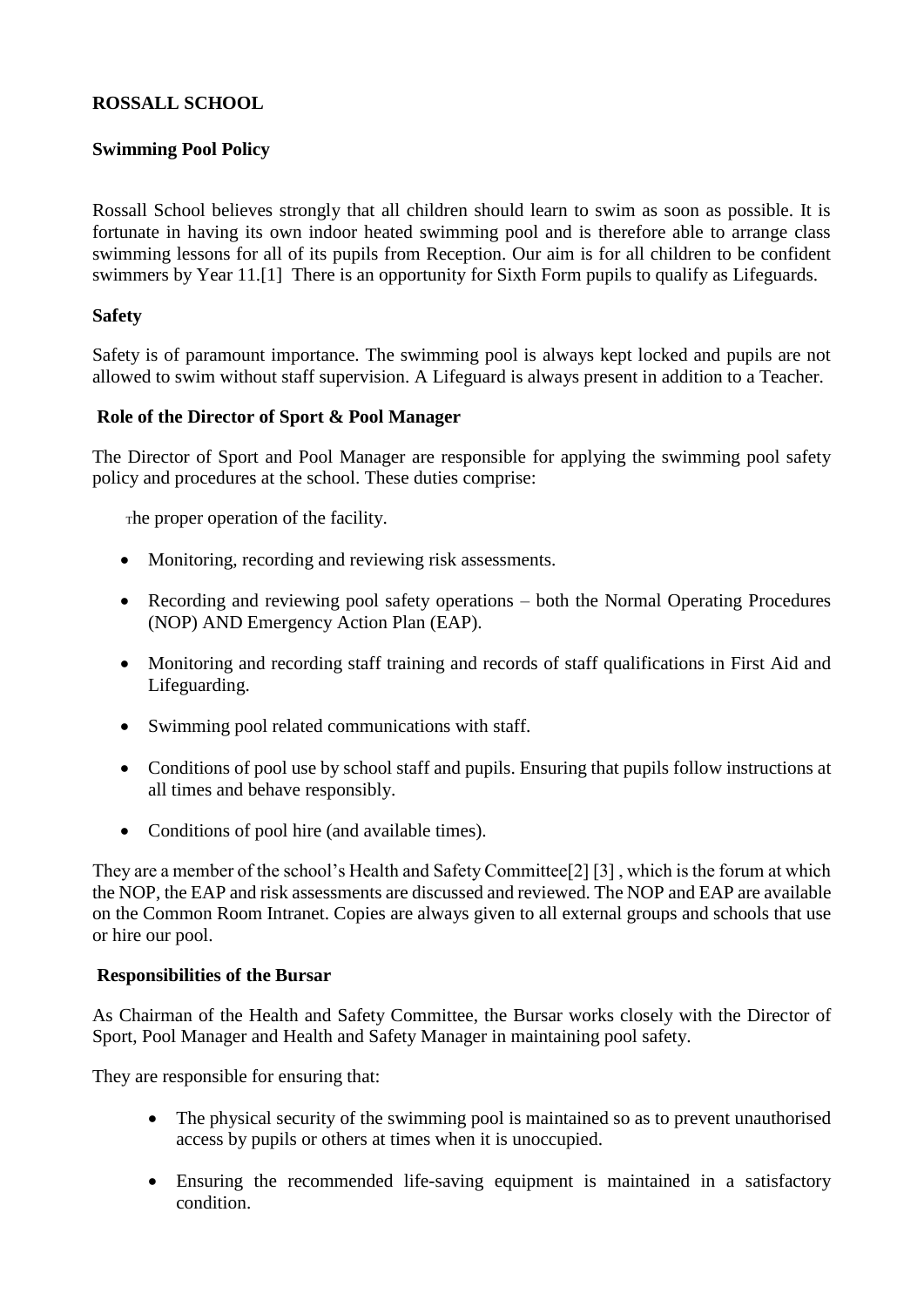# **ROSSALL SCHOOL**

## **Swimming Pool Policy**

Rossall School believes strongly that all children should learn to swim as soon as possible. It is fortunate in having its own indoor heated swimming pool and is therefore able to arrange class swimming lessons for all of its pupils from Reception. Our aim is for all children to be confident swimmers by Year 11.[1] There is an opportunity for Sixth Form pupils to qualify as Lifeguards.

## **Safety**

Safety is of paramount importance. The swimming pool is always kept locked and pupils are not allowed to swim without staff supervision. A Lifeguard is always present in addition to a Teacher.

## **Role of the Director of Sport & Pool Manager**

The Director of Sport and Pool Manager are responsible for applying the swimming pool safety policy and procedures at the school. These duties comprise:

The proper operation of the facility.

- Monitoring, recording and reviewing risk assessments.
- Recording and reviewing pool safety operations both the Normal Operating Procedures (NOP) AND Emergency Action Plan (EAP).
- Monitoring and recording staff training and records of staff qualifications in First Aid and Lifeguarding.
- Swimming pool related communications with staff.
- Conditions of pool use by school staff and pupils. Ensuring that pupils follow instructions at all times and behave responsibly.
- Conditions of pool hire (and available times).

They are a member of the school's Health and Safety Committee[2] [3] , which is the forum at which the NOP, the EAP and risk assessments are discussed and reviewed. The NOP and EAP are available on the Common Room Intranet. Copies are always given to all external groups and schools that use or hire our pool.

## **Responsibilities of the Bursar**

As Chairman of the Health and Safety Committee, the Bursar works closely with the Director of Sport, Pool Manager and Health and Safety Manager in maintaining pool safety.

They are responsible for ensuring that:

- The physical security of the swimming pool is maintained so as to prevent unauthorised access by pupils or others at times when it is unoccupied.
- Ensuring the recommended life-saving equipment is maintained in a satisfactory condition.